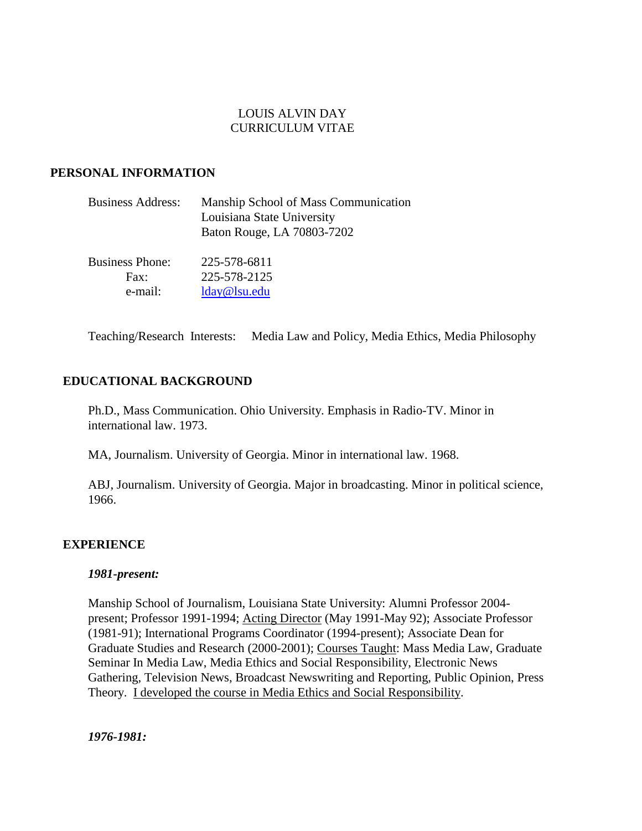# LOUIS ALVIN DAY CURRICULUM VITAE

# **PERSONAL INFORMATION**

| <b>Business Address:</b> | Manship School of Mass Communication<br>Louisiana State University |
|--------------------------|--------------------------------------------------------------------|
|                          | Baton Rouge, LA 70803-7202                                         |
| <b>Business Phone:</b>   | 225-578-6811                                                       |
| Fax:                     | 225-578-2125                                                       |
| e-mail:                  | lday@lsu.edu                                                       |

Teaching/Research Interests: Media Law and Policy, Media Ethics, Media Philosophy

## **EDUCATIONAL BACKGROUND**

Ph.D., Mass Communication. Ohio University. Emphasis in Radio-TV. Minor in international law. 1973.

MA, Journalism. University of Georgia. Minor in international law. 1968.

ABJ, Journalism. University of Georgia. Major in broadcasting. Minor in political science, 1966.

## **EXPERIENCE**

## *1981-present:*

Manship School of Journalism, Louisiana State University: Alumni Professor 2004 present; Professor 1991-1994; Acting Director (May 1991-May 92); Associate Professor (1981-91); International Programs Coordinator (1994-present); Associate Dean for Graduate Studies and Research (2000-2001); Courses Taught: Mass Media Law, Graduate Seminar In Media Law, Media Ethics and Social Responsibility, Electronic News Gathering, Television News, Broadcast Newswriting and Reporting, Public Opinion, Press Theory. I developed the course in Media Ethics and Social Responsibility.

*1976-1981:*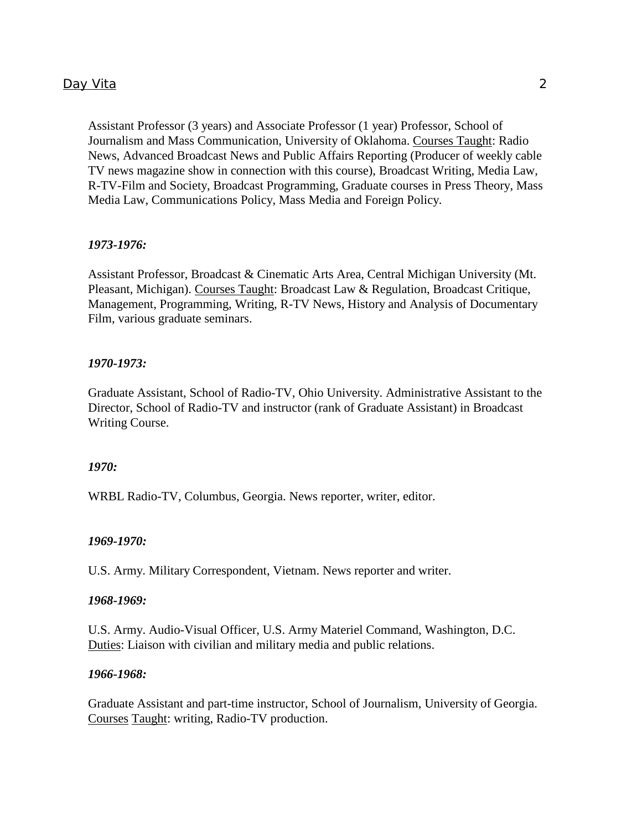Assistant Professor (3 years) and Associate Professor (1 year) Professor, School of Journalism and Mass Communication, University of Oklahoma. Courses Taught: Radio News, Advanced Broadcast News and Public Affairs Reporting (Producer of weekly cable TV news magazine show in connection with this course), Broadcast Writing, Media Law, R-TV-Film and Society, Broadcast Programming, Graduate courses in Press Theory, Mass Media Law, Communications Policy, Mass Media and Foreign Policy.

### *1973-1976:*

Assistant Professor, Broadcast & Cinematic Arts Area, Central Michigan University (Mt. Pleasant, Michigan). Courses Taught: Broadcast Law & Regulation, Broadcast Critique, Management, Programming, Writing, R-TV News, History and Analysis of Documentary Film, various graduate seminars.

### *1970-1973:*

Graduate Assistant, School of Radio-TV, Ohio University. Administrative Assistant to the Director, School of Radio-TV and instructor (rank of Graduate Assistant) in Broadcast Writing Course.

### *1970:*

WRBL Radio-TV, Columbus, Georgia. News reporter, writer, editor.

#### *1969-1970:*

U.S. Army. Military Correspondent, Vietnam. News reporter and writer.

#### *1968-1969:*

U.S. Army. Audio-Visual Officer, U.S. Army Materiel Command, Washington, D.C. Duties: Liaison with civilian and military media and public relations.

#### *1966-1968:*

Graduate Assistant and part-time instructor, School of Journalism, University of Georgia. Courses Taught: writing, Radio-TV production.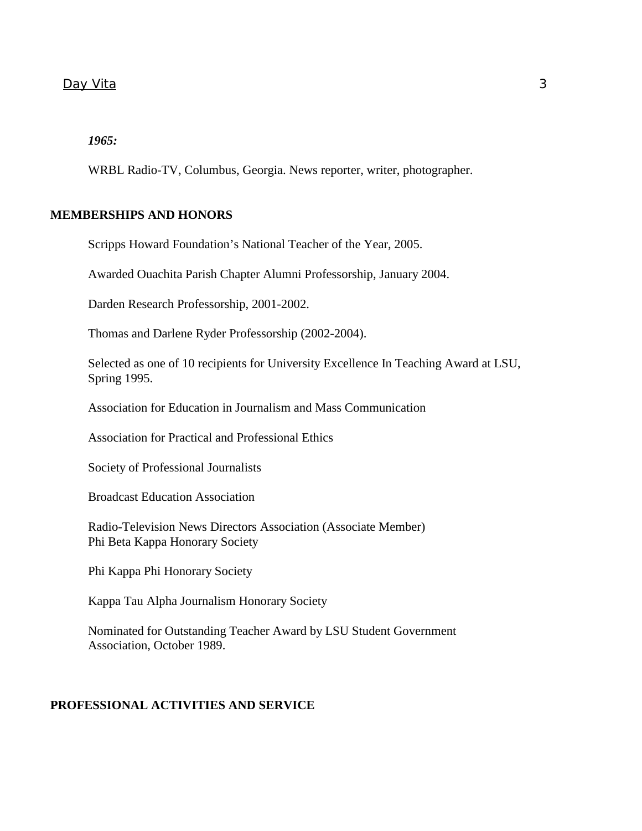# *1965:*

WRBL Radio-TV, Columbus, Georgia. News reporter, writer, photographer.

# **MEMBERSHIPS AND HONORS**

Scripps Howard Foundation's National Teacher of the Year, 2005.

Awarded Ouachita Parish Chapter Alumni Professorship, January 2004.

Darden Research Professorship, 2001-2002.

Thomas and Darlene Ryder Professorship (2002-2004).

Selected as one of 10 recipients for University Excellence In Teaching Award at LSU, Spring 1995.

Association for Education in Journalism and Mass Communication

Association for Practical and Professional Ethics

Society of Professional Journalists

Broadcast Education Association

 Radio-Television News Directors Association (Associate Member) Phi Beta Kappa Honorary Society

Phi Kappa Phi Honorary Society

Kappa Tau Alpha Journalism Honorary Society

Nominated for Outstanding Teacher Award by LSU Student Government Association, October 1989.

## **PROFESSIONAL ACTIVITIES AND SERVICE**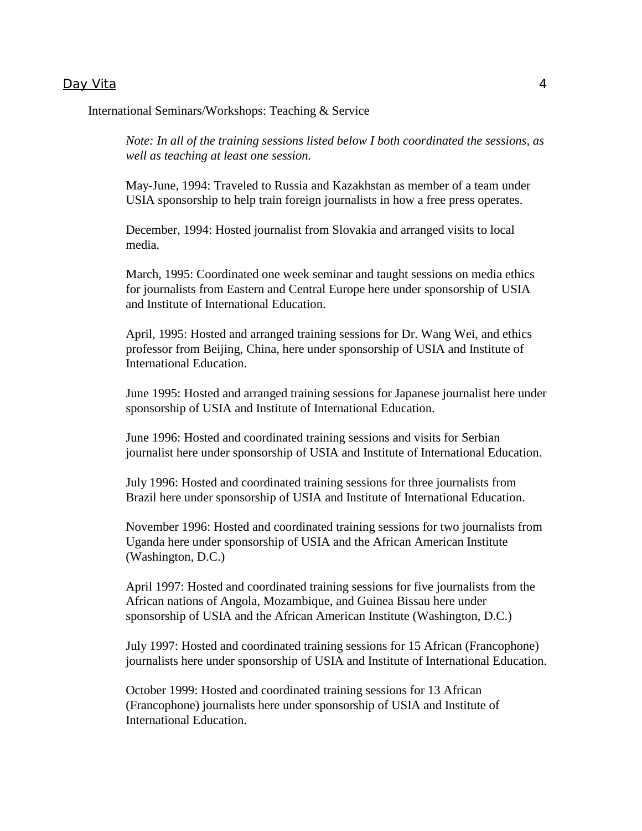International Seminars/Workshops: Teaching & Service

*Note: In all of the training sessions listed below I both coordinated the sessions, as well as teaching at least one session.*

May-June, 1994: Traveled to Russia and Kazakhstan as member of a team under USIA sponsorship to help train foreign journalists in how a free press operates.

December, 1994: Hosted journalist from Slovakia and arranged visits to local media.

March, 1995: Coordinated one week seminar and taught sessions on media ethics for journalists from Eastern and Central Europe here under sponsorship of USIA and Institute of International Education.

April, 1995: Hosted and arranged training sessions for Dr. Wang Wei, and ethics professor from Beijing, China, here under sponsorship of USIA and Institute of International Education.

June 1995: Hosted and arranged training sessions for Japanese journalist here under sponsorship of USIA and Institute of International Education.

June 1996: Hosted and coordinated training sessions and visits for Serbian journalist here under sponsorship of USIA and Institute of International Education.

July 1996: Hosted and coordinated training sessions for three journalists from Brazil here under sponsorship of USIA and Institute of International Education.

November 1996: Hosted and coordinated training sessions for two journalists from Uganda here under sponsorship of USIA and the African American Institute (Washington, D.C.)

April 1997: Hosted and coordinated training sessions for five journalists from the African nations of Angola, Mozambique, and Guinea Bissau here under sponsorship of USIA and the African American Institute (Washington, D.C.)

July 1997: Hosted and coordinated training sessions for 15 African (Francophone) journalists here under sponsorship of USIA and Institute of International Education.

October 1999: Hosted and coordinated training sessions for 13 African (Francophone) journalists here under sponsorship of USIA and Institute of International Education.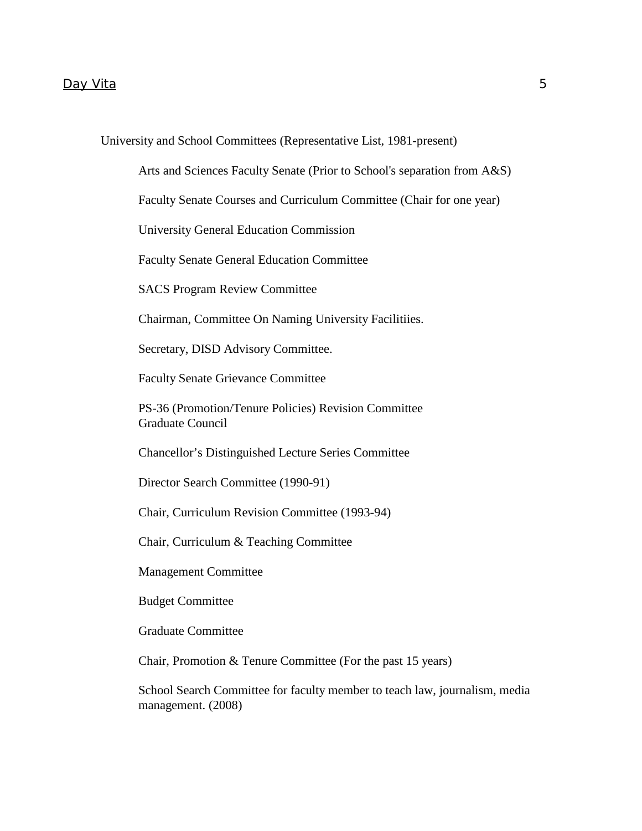University and School Committees (Representative List, 1981-present)

Arts and Sciences Faculty Senate (Prior to School's separation from A&S)

Faculty Senate Courses and Curriculum Committee (Chair for one year)

University General Education Commission

Faculty Senate General Education Committee

SACS Program Review Committee

Chairman, Committee On Naming University Facilitiies.

Secretary, DISD Advisory Committee.

Faculty Senate Grievance Committee

PS-36 (Promotion/Tenure Policies) Revision Committee Graduate Council

Chancellor's Distinguished Lecture Series Committee

Director Search Committee (1990-91)

Chair, Curriculum Revision Committee (1993-94)

Chair, Curriculum & Teaching Committee

Management Committee

Budget Committee

Graduate Committee

Chair, Promotion & Tenure Committee (For the past 15 years)

School Search Committee for faculty member to teach law, journalism, media management. (2008)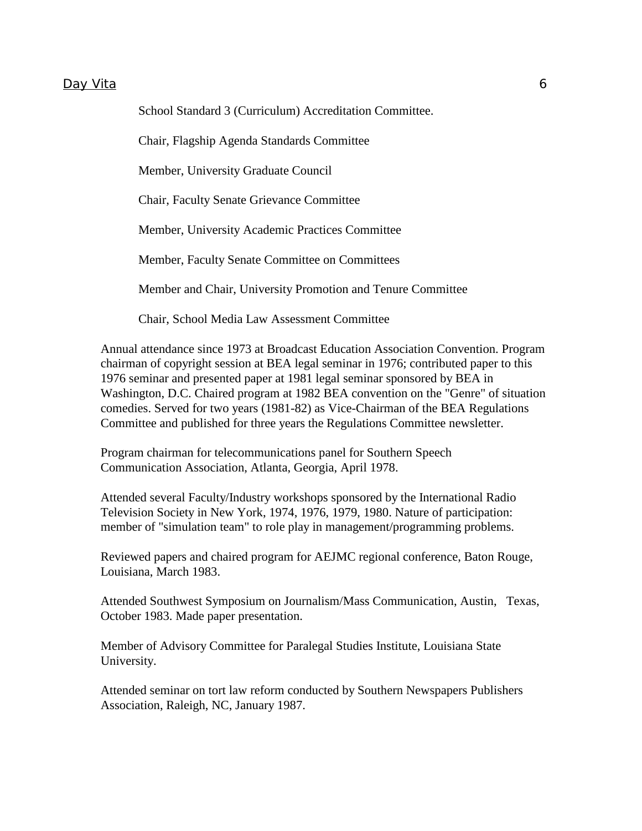School Standard 3 (Curriculum) Accreditation Committee.

Chair, Flagship Agenda Standards Committee

Member, University Graduate Council

Chair, Faculty Senate Grievance Committee

Member, University Academic Practices Committee

Member, Faculty Senate Committee on Committees

Member and Chair, University Promotion and Tenure Committee

Chair, School Media Law Assessment Committee

Annual attendance since 1973 at Broadcast Education Association Convention. Program chairman of copyright session at BEA legal seminar in 1976; contributed paper to this 1976 seminar and presented paper at 1981 legal seminar sponsored by BEA in Washington, D.C. Chaired program at 1982 BEA convention on the "Genre" of situation comedies. Served for two years (1981-82) as Vice-Chairman of the BEA Regulations Committee and published for three years the Regulations Committee newsletter.

Program chairman for telecommunications panel for Southern Speech Communication Association, Atlanta, Georgia, April 1978.

Attended several Faculty/Industry workshops sponsored by the International Radio Television Society in New York, 1974, 1976, 1979, 1980. Nature of participation: member of "simulation team" to role play in management/programming problems.

Reviewed papers and chaired program for AEJMC regional conference, Baton Rouge, Louisiana, March 1983.

Attended Southwest Symposium on Journalism/Mass Communication, Austin, Texas, October 1983. Made paper presentation.

Member of Advisory Committee for Paralegal Studies Institute, Louisiana State University.

Attended seminar on tort law reform conducted by Southern Newspapers Publishers Association, Raleigh, NC, January 1987.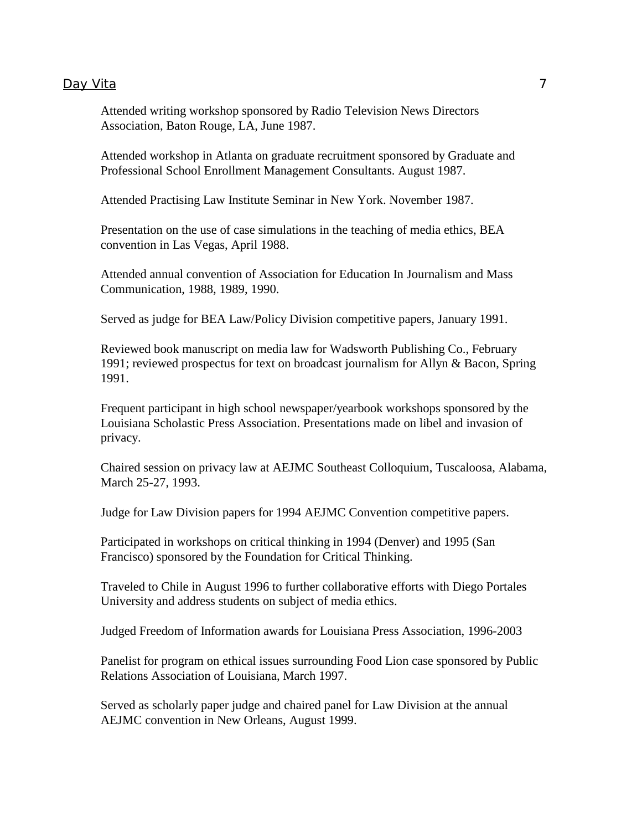Attended writing workshop sponsored by Radio Television News Directors Association, Baton Rouge, LA, June 1987.

Attended workshop in Atlanta on graduate recruitment sponsored by Graduate and Professional School Enrollment Management Consultants. August 1987.

Attended Practising Law Institute Seminar in New York. November 1987.

Presentation on the use of case simulations in the teaching of media ethics, BEA convention in Las Vegas, April 1988.

Attended annual convention of Association for Education In Journalism and Mass Communication, 1988, 1989, 1990.

Served as judge for BEA Law/Policy Division competitive papers, January 1991.

Reviewed book manuscript on media law for Wadsworth Publishing Co., February 1991; reviewed prospectus for text on broadcast journalism for Allyn & Bacon, Spring 1991.

Frequent participant in high school newspaper/yearbook workshops sponsored by the Louisiana Scholastic Press Association. Presentations made on libel and invasion of privacy.

Chaired session on privacy law at AEJMC Southeast Colloquium, Tuscaloosa, Alabama, March 25-27, 1993.

Judge for Law Division papers for 1994 AEJMC Convention competitive papers.

Participated in workshops on critical thinking in 1994 (Denver) and 1995 (San Francisco) sponsored by the Foundation for Critical Thinking.

Traveled to Chile in August 1996 to further collaborative efforts with Diego Portales University and address students on subject of media ethics.

Judged Freedom of Information awards for Louisiana Press Association, 1996-2003

Panelist for program on ethical issues surrounding Food Lion case sponsored by Public Relations Association of Louisiana, March 1997.

Served as scholarly paper judge and chaired panel for Law Division at the annual AEJMC convention in New Orleans, August 1999.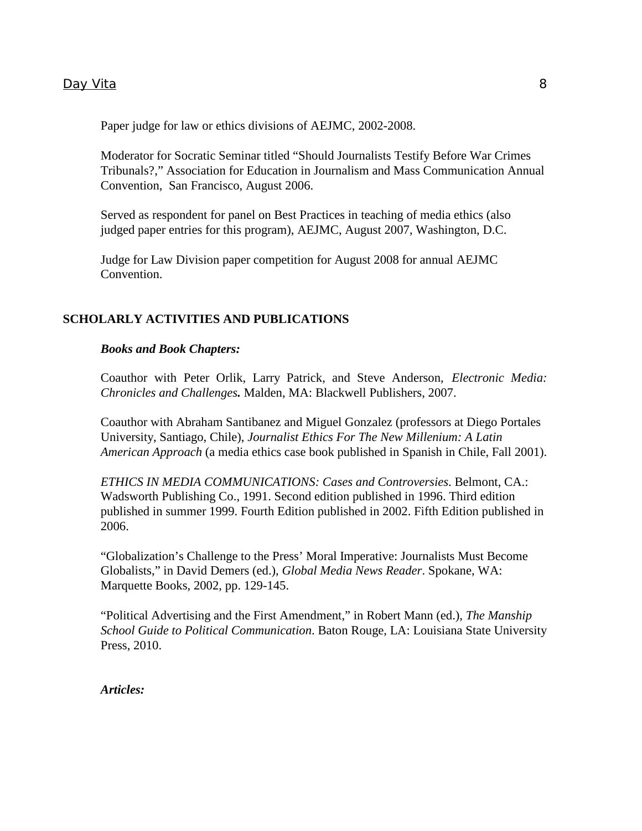Paper judge for law or ethics divisions of AEJMC, 2002-2008.

Moderator for Socratic Seminar titled "Should Journalists Testify Before War Crimes Tribunals?," Association for Education in Journalism and Mass Communication Annual Convention, San Francisco, August 2006.

Served as respondent for panel on Best Practices in teaching of media ethics (also judged paper entries for this program), AEJMC, August 2007, Washington, D.C.

Judge for Law Division paper competition for August 2008 for annual AEJMC Convention.

### **SCHOLARLY ACTIVITIES AND PUBLICATIONS**

#### *Books and Book Chapters:*

Coauthor with Peter Orlik, Larry Patrick, and Steve Anderson, *Electronic Media: Chronicles and Challenges.* Malden, MA: Blackwell Publishers, 2007.

Coauthor with Abraham Santibanez and Miguel Gonzalez (professors at Diego Portales University, Santiago, Chile), *Journalist Ethics For The New Millenium: A Latin American Approach* (a media ethics case book published in Spanish in Chile, Fall 2001).

*ETHICS IN MEDIA COMMUNICATIONS: Cases and Controversies*. Belmont, CA.: Wadsworth Publishing Co., 1991. Second edition published in 1996. Third edition published in summer 1999. Fourth Edition published in 2002. Fifth Edition published in 2006.

"Globalization's Challenge to the Press' Moral Imperative: Journalists Must Become Globalists," in David Demers (ed.), *Global Media News Reader*. Spokane, WA: Marquette Books, 2002, pp. 129-145.

"Political Advertising and the First Amendment," in Robert Mann (ed.), *The Manship School Guide to Political Communication*. Baton Rouge, LA: Louisiana State University Press, 2010.

*Articles:*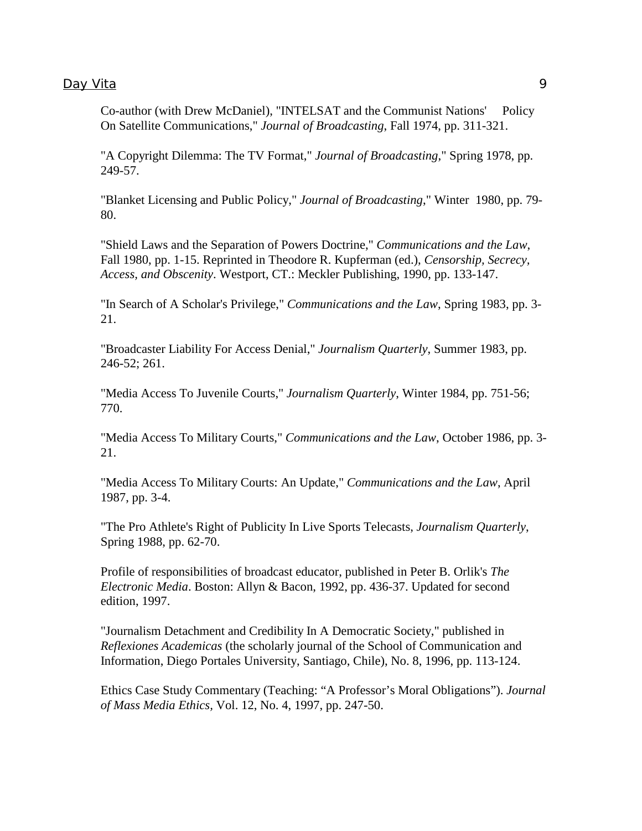Co-author (with Drew McDaniel), "INTELSAT and the Communist Nations' Policy On Satellite Communications," *Journal of Broadcasting*, Fall 1974, pp. 311-321.

"A Copyright Dilemma: The TV Format," *Journal of Broadcasting*," Spring 1978, pp. 249-57.

 "Blanket Licensing and Public Policy," *Journal of Broadcasting*," Winter 1980, pp. 79- 80.

 "Shield Laws and the Separation of Powers Doctrine," *Communications and the Law*, Fall 1980, pp. 1-15. Reprinted in Theodore R. Kupferman (ed.), *Censorship, Secrecy, Access, and Obscenity*. Westport, CT.: Meckler Publishing, 1990, pp. 133-147.

"In Search of A Scholar's Privilege," *Communications and the Law*, Spring 1983, pp. 3- 21.

 "Broadcaster Liability For Access Denial," *Journalism Quarterly*, Summer 1983, pp. 246-52; 261.

"Media Access To Juvenile Courts," *Journalism Quarterly*, Winter 1984, pp. 751-56; 770.

 "Media Access To Military Courts," *Communications and the Law*, October 1986, pp. 3- 21.

 "Media Access To Military Courts: An Update," *Communications and the Law*, April 1987, pp. 3-4.

"The Pro Athlete's Right of Publicity In Live Sports Telecasts, *Journalism Quarterly*, Spring 1988, pp. 62-70.

Profile of responsibilities of broadcast educator, published in Peter B. Orlik's *The Electronic Media*. Boston: Allyn & Bacon, 1992, pp. 436-37. Updated for second edition, 1997.

"Journalism Detachment and Credibility In A Democratic Society," published in *Reflexiones Academicas* (the scholarly journal of the School of Communication and Information, Diego Portales University, Santiago, Chile), No. 8, 1996, pp. 113-124.

Ethics Case Study Commentary (Teaching: "A Professor's Moral Obligations"). *Journal of Mass Media Ethics,* Vol. 12, No. 4, 1997, pp. 247-50.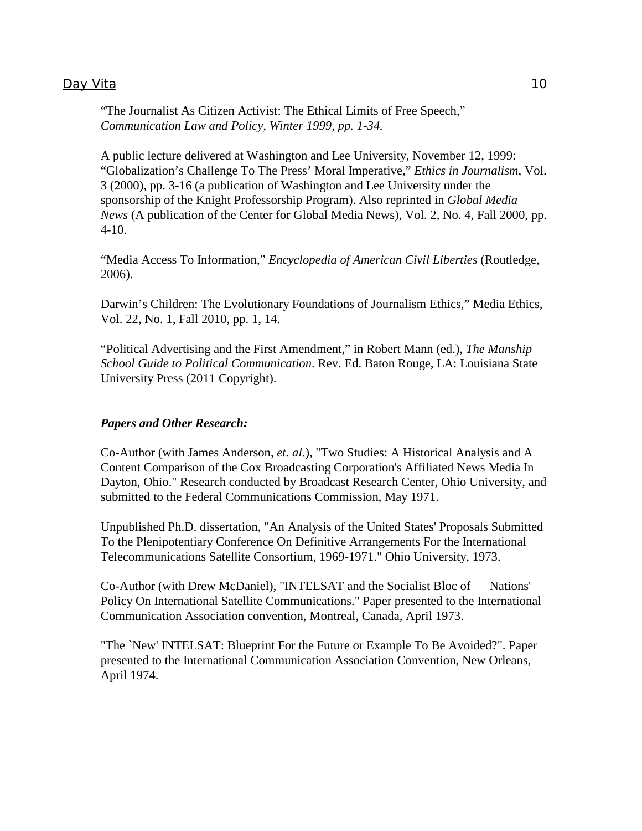"The Journalist As Citizen Activist: The Ethical Limits of Free Speech," *Communication Law and Policy, Winter 1999, pp. 1-34.*

A public lecture delivered at Washington and Lee University, November 12, 1999: "Globalization's Challenge To The Press' Moral Imperative," *Ethics in Journalism,* Vol. 3 (2000), pp. 3-16 (a publication of Washington and Lee University under the sponsorship of the Knight Professorship Program). Also reprinted in *Global Media News* (A publication of the Center for Global Media News), Vol. 2, No. 4, Fall 2000, pp. 4-10.

"Media Access To Information," *Encyclopedia of American Civil Liberties* (Routledge, 2006).

Darwin's Children: The Evolutionary Foundations of Journalism Ethics," Media Ethics, Vol. 22, No. 1, Fall 2010, pp. 1, 14.

"Political Advertising and the First Amendment," in Robert Mann (ed.), *The Manship School Guide to Political Communication*. Rev. Ed. Baton Rouge, LA: Louisiana State University Press (2011 Copyright).

#### *Papers and Other Research:*

Co-Author (with James Anderson, *et. al*.), "Two Studies: A Historical Analysis and A Content Comparison of the Cox Broadcasting Corporation's Affiliated News Media In Dayton, Ohio." Research conducted by Broadcast Research Center, Ohio University, and submitted to the Federal Communications Commission, May 1971.

 Unpublished Ph.D. dissertation, "An Analysis of the United States' Proposals Submitted To the Plenipotentiary Conference On Definitive Arrangements For the International Telecommunications Satellite Consortium, 1969-1971." Ohio University, 1973.

 Co-Author (with Drew McDaniel), "INTELSAT and the Socialist Bloc of Nations' Policy On International Satellite Communications." Paper presented to the International Communication Association convention, Montreal, Canada, April 1973.

 "The `New' INTELSAT: Blueprint For the Future or Example To Be Avoided?". Paper presented to the International Communication Association Convention, New Orleans, April 1974.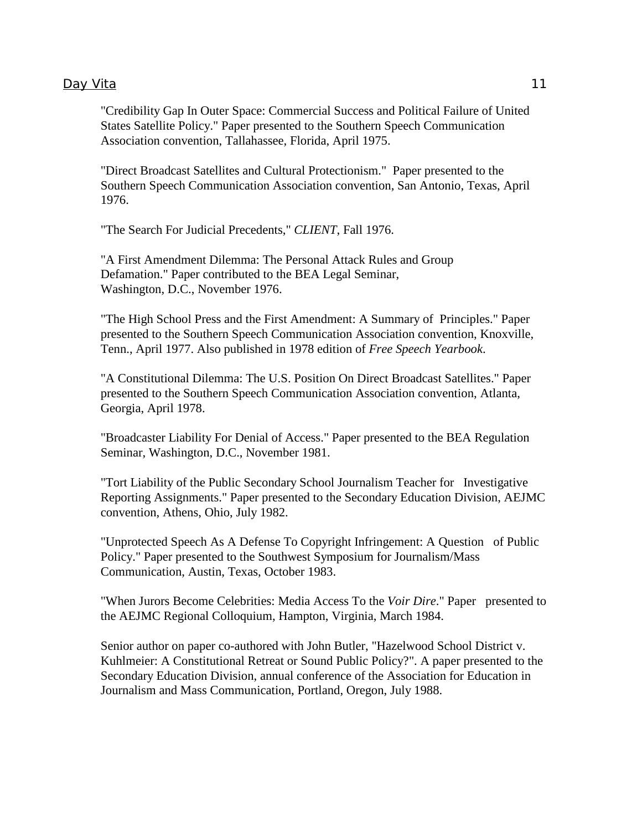#### Day Vita 2012 11 2013 11 2022 11 2022 11 2022 11 2022 11 2022 11 2022 11 2022 11 2022 11 2022 11 2022 11 2022 11 2022 11 2022 11 2022 11 2022 11 2022 11 2022 11 2022 12:00 12:00 12:00 12:00 12:00 12:00 12:00 12:00 12:00 12

 "Credibility Gap In Outer Space: Commercial Success and Political Failure of United States Satellite Policy." Paper presented to the Southern Speech Communication Association convention, Tallahassee, Florida, April 1975.

 "Direct Broadcast Satellites and Cultural Protectionism." Paper presented to the Southern Speech Communication Association convention, San Antonio, Texas, April 1976.

"The Search For Judicial Precedents," *CLIENT*, Fall 1976.

 "A First Amendment Dilemma: The Personal Attack Rules and Group Defamation." Paper contributed to the BEA Legal Seminar, Washington, D.C., November 1976.

 "The High School Press and the First Amendment: A Summary of Principles." Paper presented to the Southern Speech Communication Association convention, Knoxville, Tenn., April 1977. Also published in 1978 edition of *Free Speech Yearbook*.

 "A Constitutional Dilemma: The U.S. Position On Direct Broadcast Satellites." Paper presented to the Southern Speech Communication Association convention, Atlanta, Georgia, April 1978.

 "Broadcaster Liability For Denial of Access." Paper presented to the BEA Regulation Seminar, Washington, D.C., November 1981.

 "Tort Liability of the Public Secondary School Journalism Teacher for Investigative Reporting Assignments." Paper presented to the Secondary Education Division, AEJMC convention, Athens, Ohio, July 1982.

 "Unprotected Speech As A Defense To Copyright Infringement: A Question of Public Policy." Paper presented to the Southwest Symposium for Journalism/Mass Communication, Austin, Texas, October 1983.

 "When Jurors Become Celebrities: Media Access To the *Voir Dire*." Paper presented to the AEJMC Regional Colloquium, Hampton, Virginia, March 1984.

Senior author on paper co-authored with John Butler, "Hazelwood School District v. Kuhlmeier: A Constitutional Retreat or Sound Public Policy?". A paper presented to the Secondary Education Division, annual conference of the Association for Education in Journalism and Mass Communication, Portland, Oregon, July 1988.